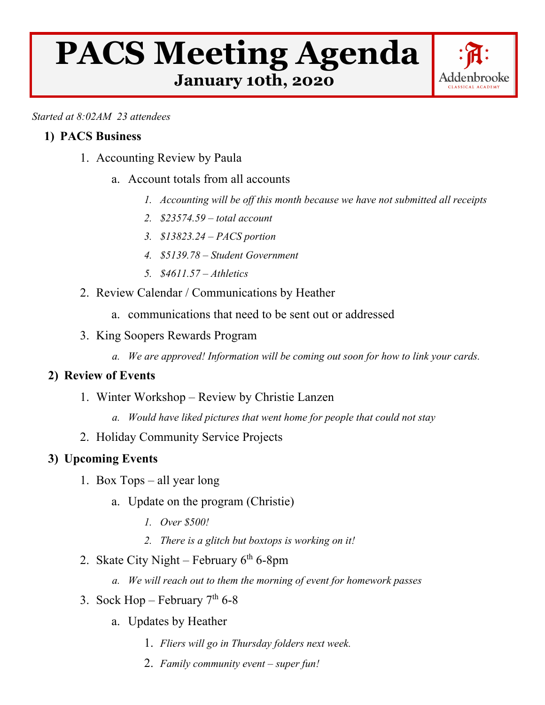# **PACS Meeting Agenda January 10th, 2020**



*Started at 8:02AM 23 attendees*

## **1) PACS Business**

- 1. Accounting Review by Paula
	- a. Account totals from all accounts
		- *1. Accounting will be off this month because we have not submitted all receipts*
		- *2. \$23574.59 – total account*
		- *3. \$13823.24 – PACS portion*
		- *4. \$5139.78 – Student Government*
		- *5. \$4611.57 – Athletics*
- 2. Review Calendar / Communications by Heather
	- a. communications that need to be sent out or addressed
- 3. King Soopers Rewards Program
	- *a. We are approved! Information will be coming out soon for how to link your cards.*

### **2) Review of Events**

- 1. Winter Workshop Review by Christie Lanzen
	- *a. Would have liked pictures that went home for people that could not stay*
- 2. Holiday Community Service Projects

### **3) Upcoming Events**

- 1. Box Tops all year long
	- a. Update on the program (Christie)
		- *1. Over \$500!*
		- *2. There is a glitch but boxtops is working on it!*
- 2. Skate City Night February  $6<sup>th</sup> 6-8pm$ 
	- *a. We will reach out to them the morning of event for homework passes*
- 3. Sock Hop February  $7<sup>th</sup> 6-8$ 
	- a. Updates by Heather
		- 1. *Fliers will go in Thursday folders next week.*
		- 2. *Family community event – super fun!*